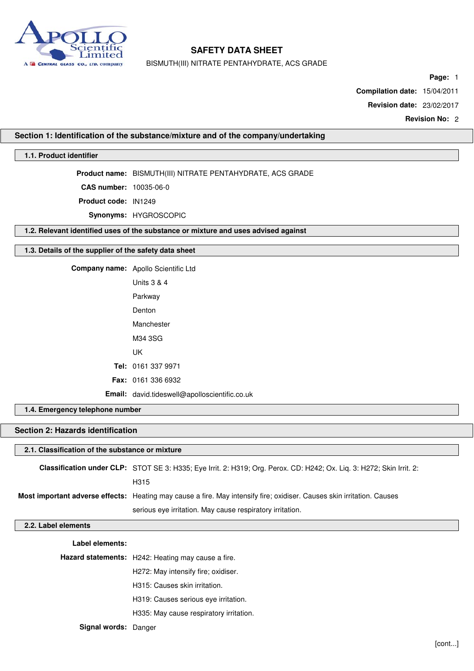

BISMUTH(III) NITRATE PENTAHYDRATE, ACS GRADE

**Page:** 1

**Compilation date:** 15/04/2011

**Revision date:** 23/02/2017

**Revision No:** 2

**Section 1: Identification of the substance/mixture and of the company/undertaking**

## **1.1. Product identifier**

**Product name:** BISMUTH(III) NITRATE PENTAHYDRATE, ACS GRADE

**CAS number:** 10035-06-0

**Product code:** IN1249

**Synonyms:** HYGROSCOPIC

**1.2. Relevant identified uses of the substance or mixture and uses advised against**

### **1.3. Details of the supplier of the safety data sheet**

**Company name:** Apollo Scientific Ltd

| Units 3 & 4                                   |
|-----------------------------------------------|
| Parkway                                       |
| Denton                                        |
| Manchester                                    |
| M34 3SG                                       |
| UΚ                                            |
| <b>Tel:</b> 0161 337 9971                     |
| <b>Fax: 0161 336 6932</b>                     |
| Email: david.tideswell@apolloscientific.co.uk |

**1.4. Emergency telephone number**

## **Section 2: Hazards identification**

### **2.1. Classification of the substance or mixture**

**Classification under CLP:** STOT SE 3: H335; Eye Irrit. 2: H319; Org. Perox. CD: H242; Ox. Liq. 3: H272; Skin Irrit. 2: H315 **Most important adverse effects:** Heating may cause a fire. May intensify fire; oxidiser. Causes skin irritation. Causes serious eye irritation. May cause respiratory irritation.

#### **2.2. Label elements**

**Label elements: Hazard statements:** H242: Heating may cause a fire. H272: May intensify fire; oxidiser. H315: Causes skin irritation. H319: Causes serious eye irritation. H335: May cause respiratory irritation.

**Signal words:** Danger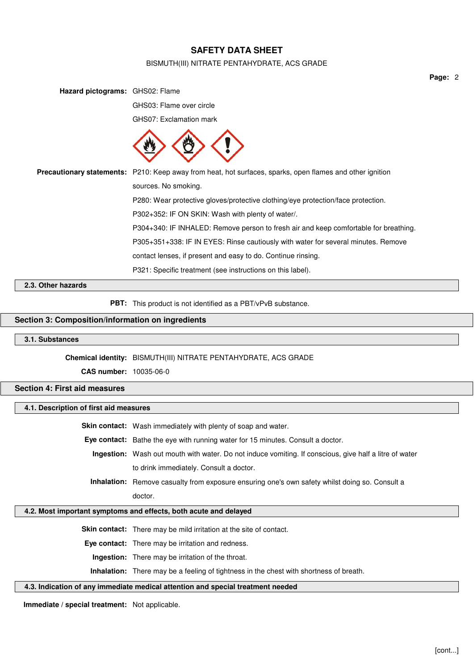### BISMUTH(III) NITRATE PENTAHYDRATE, ACS GRADE

**Hazard pictograms:** GHS02: Flame GHS03: Flame over circle GHS07: Exclamation mark **Precautionary statements:** P210: Keep away from heat, hot surfaces, sparks, open flames and other ignition sources. No smoking. P280: Wear protective gloves/protective clothing/eye protection/face protection. P302+352: IF ON SKIN: Wash with plenty of water/. P304+340: IF INHALED: Remove person to fresh air and keep comfortable for breathing. P305+351+338: IF IN EYES: Rinse cautiously with water for several minutes. Remove contact lenses, if present and easy to do. Continue rinsing. P321: Specific treatment (see instructions on this label).

**2.3. Other hazards**

**PBT:** This product is not identified as a PBT/vPvB substance.

## **Section 3: Composition/information on ingredients**

### **3.1. Substances**

### **Chemical identity:** BISMUTH(III) NITRATE PENTAHYDRATE, ACS GRADE

**CAS number:** 10035-06-0

## **Section 4: First aid measures**

## **4.1. Description of first aid measures**

**Skin contact:** Wash immediately with plenty of soap and water.

- **Eye contact:** Bathe the eye with running water for 15 minutes. Consult a doctor.
	- **Ingestion:** Wash out mouth with water. Do not induce vomiting. If conscious, give half a litre of water to drink immediately. Consult a doctor.

**Inhalation:** Remove casualty from exposure ensuring one's own safety whilst doing so. Consult a doctor.

## **4.2. Most important symptoms and effects, both acute and delayed**

**Skin contact:** There may be mild irritation at the site of contact.

**Eye contact:** There may be irritation and redness.

**Ingestion:** There may be irritation of the throat.

**Inhalation:** There may be a feeling of tightness in the chest with shortness of breath.

#### **4.3. Indication of any immediate medical attention and special treatment needed**

**Immediate / special treatment:** Not applicable.

**Page:** 2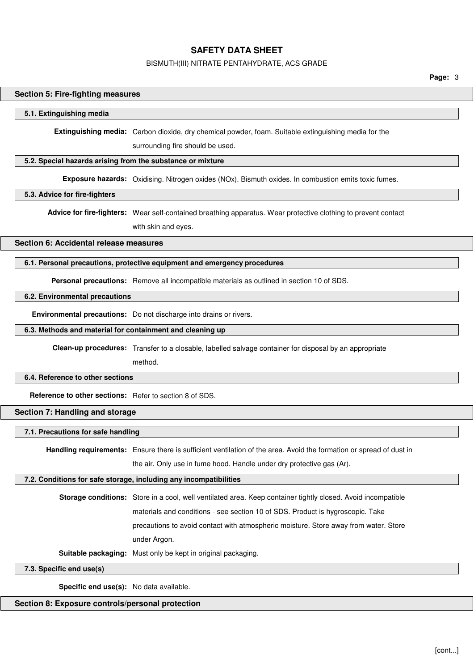### BISMUTH(III) NITRATE PENTAHYDRATE, ACS GRADE

**Page:** 3

### **Section 5: Fire-fighting measures**

### **5.1. Extinguishing media**

**Extinguishing media:** Carbon dioxide, dry chemical powder, foam. Suitable extinguishing media for the

surrounding fire should be used.

## **5.2. Special hazards arising from the substance or mixture**

**Exposure hazards:** Oxidising. Nitrogen oxides (NOx). Bismuth oxides. In combustion emits toxic fumes.

### **5.3. Advice for fire-fighters**

**Advice for fire-fighters:** Wear self-contained breathing apparatus. Wear protective clothing to prevent contact

with skin and eyes.

## **Section 6: Accidental release measures**

### **6.1. Personal precautions, protective equipment and emergency procedures**

Personal precautions: Remove all incompatible materials as outlined in section 10 of SDS.

### **6.2. Environmental precautions**

**Environmental precautions:** Do not discharge into drains or rivers.

### **6.3. Methods and material for containment and cleaning up**

**Clean-up procedures:** Transfer to a closable, labelled salvage container for disposal by an appropriate

method.

### **6.4. Reference to other sections**

**Reference to other sections:** Refer to section 8 of SDS.

## **Section 7: Handling and storage**

**7.1. Precautions for safe handling**

**Handling requirements:** Ensure there is sufficient ventilation of the area. Avoid the formation or spread of dust in

the air. Only use in fume hood. Handle under dry protective gas (Ar).

## **7.2. Conditions for safe storage, including any incompatibilities**

**Storage conditions:** Store in a cool, well ventilated area. Keep container tightly closed. Avoid incompatible materials and conditions - see section 10 of SDS. Product is hygroscopic. Take precautions to avoid contact with atmospheric moisture. Store away from water. Store under Argon.

**Suitable packaging:** Must only be kept in original packaging.

**7.3. Specific end use(s)**

**Specific end use(s):** No data available.

## **Section 8: Exposure controls/personal protection**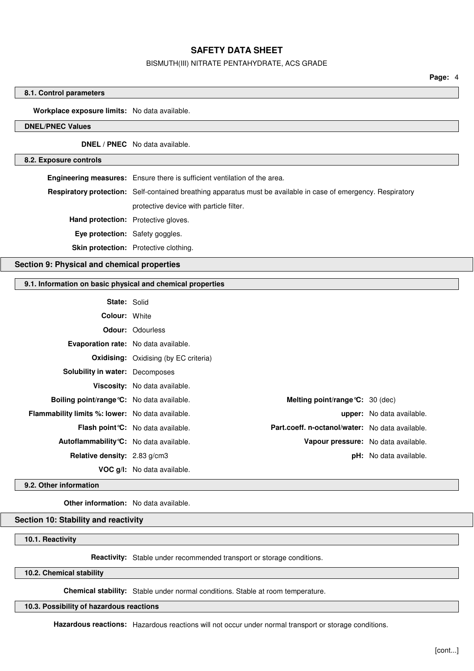### BISMUTH(III) NITRATE PENTAHYDRATE, ACS GRADE

**Page:** 4

### **8.1. Control parameters**

### **Workplace exposure limits:** No data available.

## **DNEL/PNEC Values**

**DNEL / PNEC** No data available.

### **8.2. Exposure controls**

**Engineering measures:** Ensure there is sufficient ventilation of the area. **Respiratory protection:** Self-contained breathing apparatus must be available in case of emergency. Respiratory protective device with particle filter. **Hand protection:** Protective gloves. **Eye protection:** Safety goggles. **Skin protection:** Protective clothing.

## **Section 9: Physical and chemical properties**

## **9.1. Information on basic physical and chemical properties**

| <b>State: Solid</b>                                     |                                                                                              |                                  |
|---------------------------------------------------------|----------------------------------------------------------------------------------------------|----------------------------------|
| <b>Colour: White</b>                                    |                                                                                              |                                  |
|                                                         | <b>Odour: Odourless</b>                                                                      |                                  |
| <b>Evaporation rate:</b> No data available.             |                                                                                              |                                  |
|                                                         | <b>Oxidising:</b> Oxidising (by EC criteria)                                                 |                                  |
| <b>Solubility in water: Decomposes</b>                  |                                                                                              |                                  |
|                                                         | Viscosity: No data available.                                                                |                                  |
| <b>Boiling point/range °C:</b> No data available.       | Melting point/range $C: 30$ (dec)                                                            |                                  |
| <b>Flammability limits %: lower:</b> No data available. |                                                                                              | <b>upper:</b> No data available. |
|                                                         | Part.coeff. n-octanol/water: No data available.<br><b>Flash point °C:</b> No data available. |                                  |
| Autoflammability °C: No data available.                 | Vapour pressure: No data available.                                                          |                                  |
| Relative density: 2.83 g/cm3                            |                                                                                              | <b>pH:</b> No data available.    |
|                                                         | <b>VOC g/l:</b> No data available.                                                           |                                  |

#### **9.2. Other information**

**Other information:** No data available.

## **Section 10: Stability and reactivity**

## **10.1. Reactivity**

**Reactivity:** Stable under recommended transport or storage conditions.

### **10.2. Chemical stability**

**Chemical stability:** Stable under normal conditions. Stable at room temperature.

## **10.3. Possibility of hazardous reactions**

**Hazardous reactions:** Hazardous reactions will not occur under normal transport or storage conditions.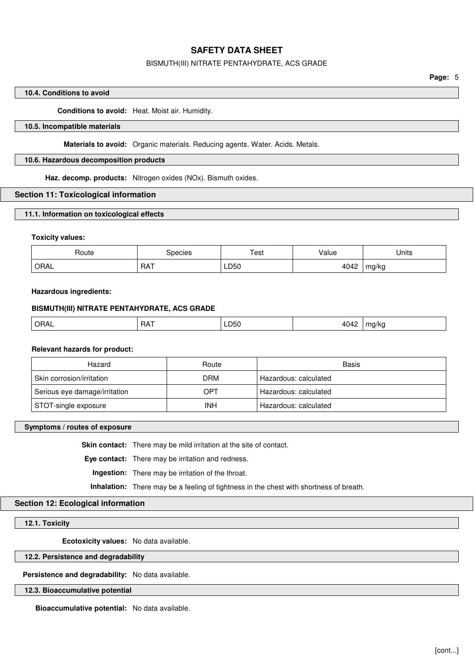### BISMUTH(III) NITRATE PENTAHYDRATE, ACS GRADE

### **10.4. Conditions to avoid**

**Conditions to avoid:** Heat. Moist air. Humidity.

## **10.5. Incompatible materials**

**Materials to avoid:** Organic materials. Reducing agents. Water. Acids. Metals.

### **10.6. Hazardous decomposition products**

**Haz. decomp. products:** Nitrogen oxides (NOx). Bismuth oxides.

### **Section 11: Toxicological information**

**11.1. Information on toxicological effects**

### **Toxicity values:**

| Route | species    | $\tau_{\mathsf{est}}$ | alue  | Jnıts |
|-------|------------|-----------------------|-------|-------|
| ORAL  | <b>RAT</b> | LD50                  | 1010  |       |
|       |            |                       | באיטי | mg/kg |

## **Hazardous ingredients:**

## **BISMUTH(III) NITRATE PENTAHYDRATE, ACS GRADE**

| ORAL | RAT | LD50<br>$- - -$ | 10.10<br>$\cdot$ .<br>. | iu/Nu |
|------|-----|-----------------|-------------------------|-------|
|      |     |                 |                         |       |

## **Relevant hazards for product:**

| Hazard                        | Route      | Basis                 |
|-------------------------------|------------|-----------------------|
| Skin corrosion/irritation     | DRM        | Hazardous: calculated |
| Serious eye damage/irritation | OPT        | Hazardous: calculated |
| STOT-single exposure          | <b>INH</b> | Hazardous: calculated |

### **Symptoms / routes of exposure**

**Skin contact:** There may be mild irritation at the site of contact.

**Eye contact:** There may be irritation and redness.

**Ingestion:** There may be irritation of the throat.

**Inhalation:** There may be a feeling of tightness in the chest with shortness of breath.

## **Section 12: Ecological information**

### **12.1. Toxicity**

**Ecotoxicity values:** No data available.

#### **12.2. Persistence and degradability**

**Persistence and degradability:** No data available.

## **12.3. Bioaccumulative potential**

**Bioaccumulative potential:** No data available.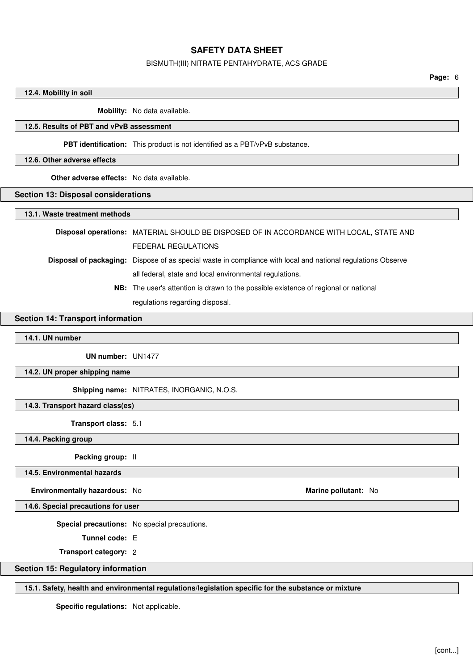### BISMUTH(III) NITRATE PENTAHYDRATE, ACS GRADE

**Page:** 6

### **12.4. Mobility in soil**

**Mobility:** No data available.

## **12.5. Results of PBT and vPvB assessment**

**PBT identification:** This product is not identified as a PBT/vPvB substance.

### **12.6. Other adverse effects**

**Other adverse effects:** No data available.

### **Section 13: Disposal considerations**

### **13.1. Waste treatment methods**

**Disposal operations:** MATERIAL SHOULD BE DISPOSED OF IN ACCORDANCE WITH LOCAL, STATE AND FEDERAL REGULATIONS

**Disposal of packaging:** Dispose of as special waste in compliance with local and national regulations Observe all federal, state and local environmental regulations.

> **NB:** The user's attention is drawn to the possible existence of regional or national regulations regarding disposal.

## **Section 14: Transport information**

## **14.1. UN number**

**UN number:** UN1477

**14.2. UN proper shipping name**

**Shipping name:** NITRATES, INORGANIC, N.O.S.

**14.3. Transport hazard class(es)**

**Transport class:** 5.1

**14.4. Packing group**

**Packing group:** II

**14.5. Environmental hazards**

**Environmentally hazardous:** No **Marine pollutant:** No

**14.6. Special precautions for user**

**Special precautions:** No special precautions.

**Tunnel code:** E

**Transport category:** 2

## **Section 15: Regulatory information**

**15.1. Safety, health and environmental regulations/legislation specific for the substance or mixture**

**Specific regulations:** Not applicable.